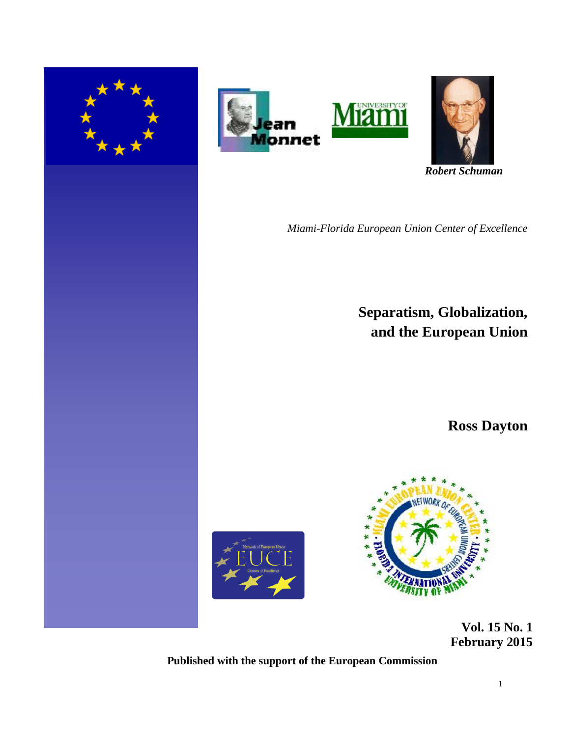





 *Robert Schuman* 

*Miami-Florida European Union Center of Excellence*

**Separatism, Globalization, and the European Union** 

**Ross Dayton**





 **Vol. 15 No. 1 February 2015** 

**Published with the support of the European Commission**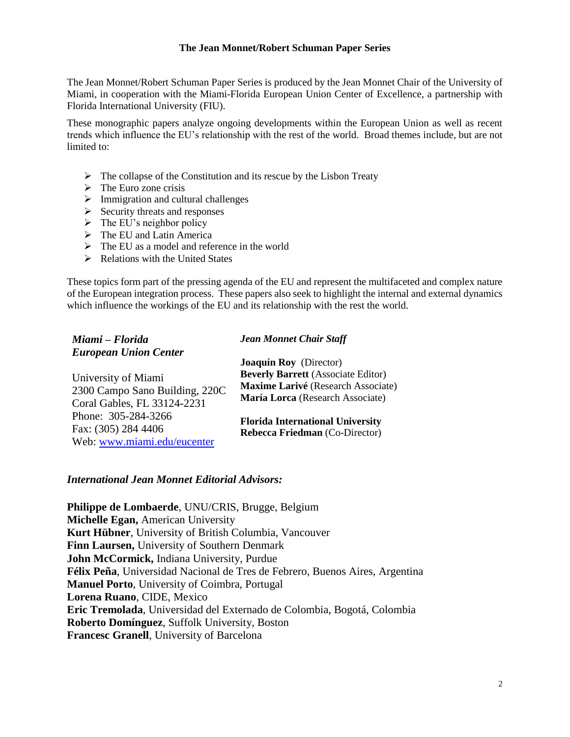## **The Jean Monnet/Robert Schuman Paper Series**

The Jean Monnet/Robert Schuman Paper Series is produced by the Jean Monnet Chair of the University of Miami, in cooperation with the Miami-Florida European Union Center of Excellence, a partnership with Florida International University (FIU).

These monographic papers analyze ongoing developments within the European Union as well as recent trends which influence the EU's relationship with the rest of the world. Broad themes include, but are not limited to:

- $\triangleright$  The collapse of the Constitution and its rescue by the Lisbon Treaty
- $\triangleright$  The Euro zone crisis
- $\triangleright$  Immigration and cultural challenges
- $\triangleright$  Security threats and responses
- $\triangleright$  The EU's neighbor policy
- $\triangleright$  The EU and Latin America
- $\triangleright$  The EU as a model and reference in the world
- $\triangleright$  Relations with the United States

These topics form part of the pressing agenda of the EU and represent the multifaceted and complex nature of the European integration process. These papers also seek to highlight the internal and external dynamics which influence the workings of the EU and its relationship with the rest the world.

| Miami – Florida                                       | <b>Jean Monnet Chair Staff</b>                                                   |
|-------------------------------------------------------|----------------------------------------------------------------------------------|
| <b>European Union Center</b>                          | Joaquín Roy (Director)                                                           |
| University of Miami<br>2300 Campo Sano Building, 220C | <b>Beverly Barrett</b> (Associate Editor)<br>Maxime Larivé (Research Associate)  |
| Coral Gables, FL 33124-2231                           | María Lorca (Research Associate)                                                 |
| Phone: 305-284-3266<br>Fax: (305) 284 4406            | <b>Florida International University</b><br><b>Rebecca Friedman (Co-Director)</b> |
| Web: www.miami.edu/eucenter                           |                                                                                  |

# *International Jean Monnet Editorial Advisors:*

**Philippe de Lombaerde**, UNU/CRIS, Brugge, Belgium **Michelle Egan,** American University **Kurt Hübner**, University of British Columbia, Vancouver **Finn Laursen,** University of Southern Denmark **John McCormick,** Indiana University, Purdue **Félix Peña**, Universidad Nacional de Tres de Febrero, Buenos Aires, Argentina **Manuel Porto**, University of Coimbra, Portugal **Lorena Ruano**, CIDE, Mexico **Eric Tremolada**, Universidad del Externado de Colombia, Bogotá, Colombia **Roberto Domínguez**, Suffolk University, Boston **Francesc Granell**, University of Barcelona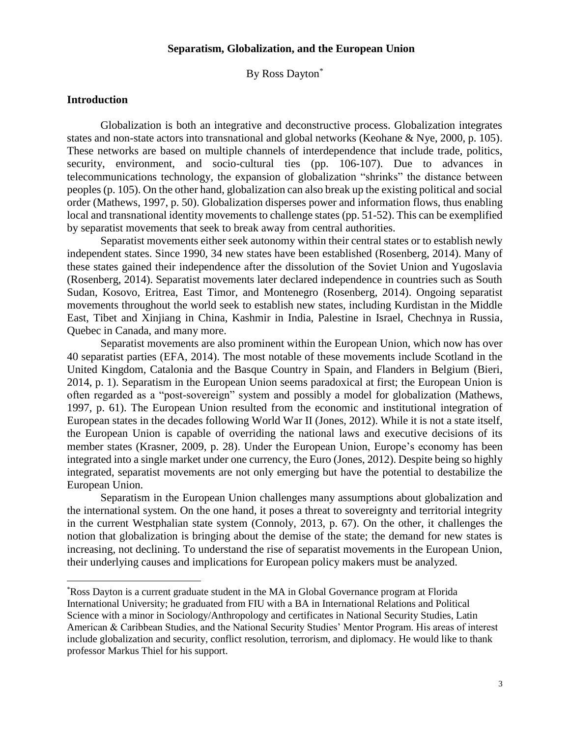# **Separatism, Globalization, and the European Union**

By Ross Dayton\*

# **Introduction**

l

Globalization is both an integrative and deconstructive process. Globalization integrates states and non-state actors into transnational and global networks (Keohane & Nye, 2000, p. 105). These networks are based on multiple channels of interdependence that include trade, politics, security, environment, and socio-cultural ties (pp. 106-107). Due to advances in telecommunications technology, the expansion of globalization "shrinks" the distance between peoples (p. 105). On the other hand, globalization can also break up the existing political and social order (Mathews, 1997, p. 50). Globalization disperses power and information flows, thus enabling local and transnational identity movements to challenge states (pp. 51-52). This can be exemplified by separatist movements that seek to break away from central authorities.

Separatist movements either seek autonomy within their central states or to establish newly independent states. Since 1990, 34 new states have been established (Rosenberg, 2014). Many of these states gained their independence after the dissolution of the Soviet Union and Yugoslavia (Rosenberg, 2014). Separatist movements later declared independence in countries such as South Sudan, Kosovo, Eritrea, East Timor, and Montenegro (Rosenberg, 2014). Ongoing separatist movements throughout the world seek to establish new states, including Kurdistan in the Middle East, Tibet and Xinjiang in China, Kashmir in India, Palestine in Israel, Chechnya in Russia, Quebec in Canada, and many more.

Separatist movements are also prominent within the European Union, which now has over 40 separatist parties (EFA, 2014). The most notable of these movements include Scotland in the United Kingdom, Catalonia and the Basque Country in Spain, and Flanders in Belgium (Bieri, 2014, p. 1). Separatism in the European Union seems paradoxical at first; the European Union is often regarded as a "post-sovereign" system and possibly a model for globalization (Mathews, 1997, p. 61). The European Union resulted from the economic and institutional integration of European states in the decades following World War II (Jones, 2012). While it is not a state itself, the European Union is capable of overriding the national laws and executive decisions of its member states (Krasner, 2009, p. 28). Under the European Union, Europe's economy has been integrated into a single market under one currency, the Euro (Jones, 2012). Despite being so highly integrated, separatist movements are not only emerging but have the potential to destabilize the European Union.

Separatism in the European Union challenges many assumptions about globalization and the international system. On the one hand, it poses a threat to sovereignty and territorial integrity in the current Westphalian state system (Connoly, 2013, p. 67). On the other, it challenges the notion that globalization is bringing about the demise of the state; the demand for new states is increasing, not declining. To understand the rise of separatist movements in the European Union, their underlying causes and implications for European policy makers must be analyzed.

<sup>\*</sup>Ross Dayton is a current graduate student in the MA in Global Governance program at Florida International University; he graduated from FIU with a BA in International Relations and Political Science with a minor in Sociology/Anthropology and certificates in National Security Studies, Latin American & Caribbean Studies, and the National Security Studies' Mentor Program. His areas of interest include globalization and security, conflict resolution, terrorism, and diplomacy. He would like to thank professor Markus Thiel for his support.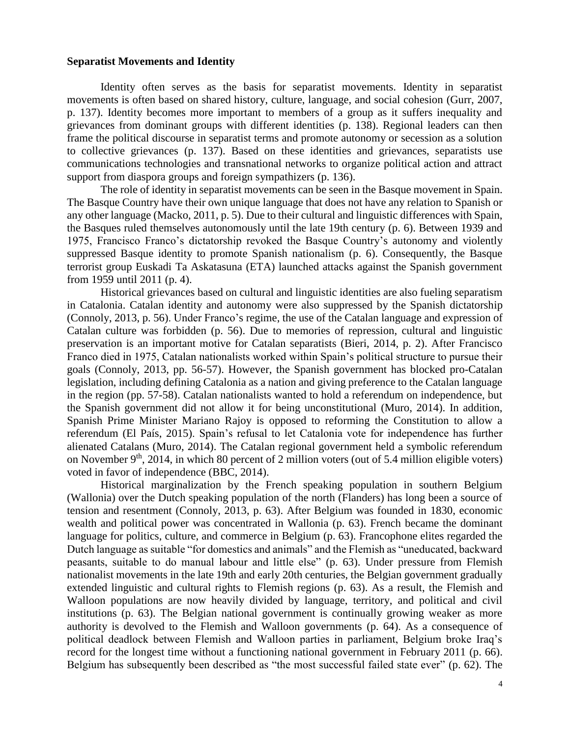## **Separatist Movements and Identity**

Identity often serves as the basis for separatist movements. Identity in separatist movements is often based on shared history, culture, language, and social cohesion (Gurr, 2007, p. 137). Identity becomes more important to members of a group as it suffers inequality and grievances from dominant groups with different identities (p. 138). Regional leaders can then frame the political discourse in separatist terms and promote autonomy or secession as a solution to collective grievances (p. 137). Based on these identities and grievances, separatists use communications technologies and transnational networks to organize political action and attract support from diaspora groups and foreign sympathizers (p. 136).

The role of identity in separatist movements can be seen in the Basque movement in Spain. The Basque Country have their own unique language that does not have any relation to Spanish or any other language (Macko, 2011, p. 5). Due to their cultural and linguistic differences with Spain, the Basques ruled themselves autonomously until the late 19th century (p. 6). Between 1939 and 1975, Francisco Franco's dictatorship revoked the Basque Country's autonomy and violently suppressed Basque identity to promote Spanish nationalism (p. 6). Consequently, the Basque terrorist group Euskadi Ta Askatasuna (ETA) launched attacks against the Spanish government from 1959 until 2011 (p. 4).

Historical grievances based on cultural and linguistic identities are also fueling separatism in Catalonia. Catalan identity and autonomy were also suppressed by the Spanish dictatorship (Connoly, 2013, p. 56). Under Franco's regime, the use of the Catalan language and expression of Catalan culture was forbidden (p. 56). Due to memories of repression, cultural and linguistic preservation is an important motive for Catalan separatists (Bieri, 2014, p. 2). After Francisco Franco died in 1975, Catalan nationalists worked within Spain's political structure to pursue their goals (Connoly, 2013, pp. 56-57). However, the Spanish government has blocked pro-Catalan legislation, including defining Catalonia as a nation and giving preference to the Catalan language in the region (pp. 57-58). Catalan nationalists wanted to hold a referendum on independence, but the Spanish government did not allow it for being unconstitutional (Muro, 2014). In addition, Spanish Prime Minister Mariano Rajoy is opposed to reforming the Constitution to allow a referendum (El País, 2015). Spain's refusal to let Catalonia vote for independence has further alienated Catalans (Muro, 2014). The Catalan regional government held a symbolic referendum on November  $9<sup>th</sup>$ , 2014, in which 80 percent of 2 million voters (out of 5.4 million eligible voters) voted in favor of independence (BBC, 2014).

Historical marginalization by the French speaking population in southern Belgium (Wallonia) over the Dutch speaking population of the north (Flanders) has long been a source of tension and resentment (Connoly, 2013, p. 63). After Belgium was founded in 1830, economic wealth and political power was concentrated in Wallonia (p. 63). French became the dominant language for politics, culture, and commerce in Belgium (p. 63). Francophone elites regarded the Dutch language as suitable "for domestics and animals" and the Flemish as "uneducated, backward peasants, suitable to do manual labour and little else" (p. 63). Under pressure from Flemish nationalist movements in the late 19th and early 20th centuries, the Belgian government gradually extended linguistic and cultural rights to Flemish regions (p. 63). As a result, the Flemish and Walloon populations are now heavily divided by language, territory, and political and civil institutions (p. 63). The Belgian national government is continually growing weaker as more authority is devolved to the Flemish and Walloon governments (p. 64). As a consequence of political deadlock between Flemish and Walloon parties in parliament, Belgium broke Iraq's record for the longest time without a functioning national government in February 2011 (p. 66). Belgium has subsequently been described as "the most successful failed state ever" (p. 62). The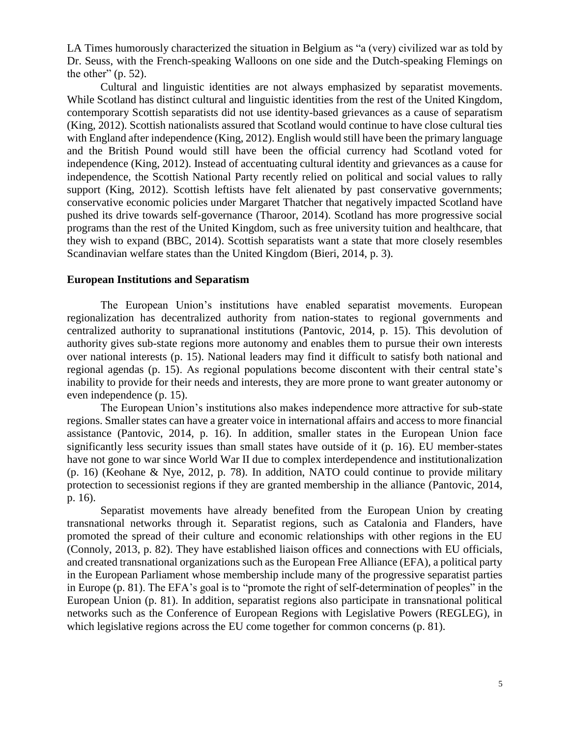LA Times humorously characterized the situation in Belgium as "a (very) civilized war as told by Dr. Seuss, with the French-speaking Walloons on one side and the Dutch-speaking Flemings on the other"  $(p. 52)$ .

Cultural and linguistic identities are not always emphasized by separatist movements. While Scotland has distinct cultural and linguistic identities from the rest of the United Kingdom, contemporary Scottish separatists did not use identity-based grievances as a cause of separatism (King, 2012). Scottish nationalists assured that Scotland would continue to have close cultural ties with England after independence (King, 2012). English would still have been the primary language and the British Pound would still have been the official currency had Scotland voted for independence (King, 2012). Instead of accentuating cultural identity and grievances as a cause for independence, the Scottish National Party recently relied on political and social values to rally support (King, 2012). Scottish leftists have felt alienated by past conservative governments; conservative economic policies under Margaret Thatcher that negatively impacted Scotland have pushed its drive towards self-governance (Tharoor, 2014). Scotland has more progressive social programs than the rest of the United Kingdom, such as free university tuition and healthcare, that they wish to expand (BBC, 2014). Scottish separatists want a state that more closely resembles Scandinavian welfare states than the United Kingdom (Bieri, 2014, p. 3).

#### **European Institutions and Separatism**

The European Union's institutions have enabled separatist movements. European regionalization has decentralized authority from nation-states to regional governments and centralized authority to supranational institutions (Pantovic, 2014, p. 15). This devolution of authority gives sub-state regions more autonomy and enables them to pursue their own interests over national interests (p. 15). National leaders may find it difficult to satisfy both national and regional agendas (p. 15). As regional populations become discontent with their central state's inability to provide for their needs and interests, they are more prone to want greater autonomy or even independence (p. 15).

The European Union's institutions also makes independence more attractive for sub-state regions. Smaller states can have a greater voice in international affairs and access to more financial assistance (Pantovic, 2014, p. 16). In addition, smaller states in the European Union face significantly less security issues than small states have outside of it (p. 16). EU member-states have not gone to war since World War II due to complex interdependence and institutionalization (p. 16) (Keohane & Nye, 2012, p. 78). In addition, NATO could continue to provide military protection to secessionist regions if they are granted membership in the alliance (Pantovic, 2014, p. 16).

Separatist movements have already benefited from the European Union by creating transnational networks through it. Separatist regions, such as Catalonia and Flanders, have promoted the spread of their culture and economic relationships with other regions in the EU (Connoly, 2013, p. 82). They have established liaison offices and connections with EU officials, and created transnational organizations such as the European Free Alliance (EFA), a political party in the European Parliament whose membership include many of the progressive separatist parties in Europe (p. 81). The EFA's goal is to "promote the right of self-determination of peoples" in the European Union (p. 81). In addition, separatist regions also participate in transnational political networks such as the Conference of European Regions with Legislative Powers (REGLEG), in which legislative regions across the EU come together for common concerns (p. 81).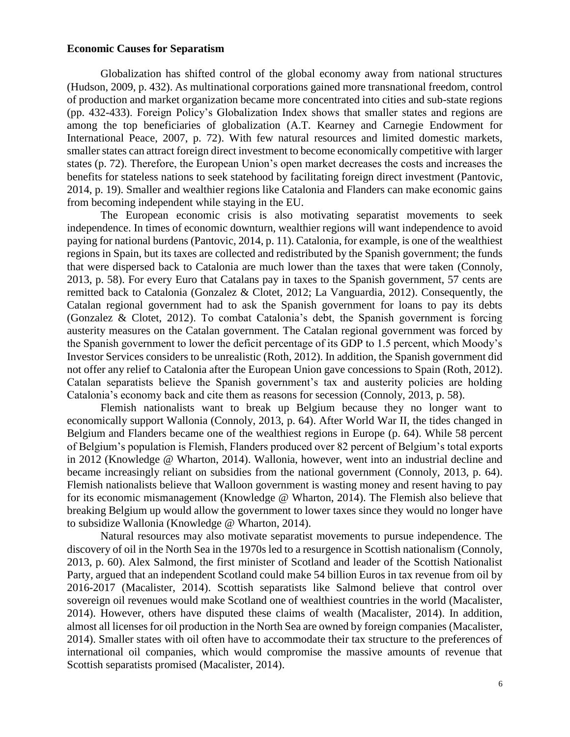# **Economic Causes for Separatism**

Globalization has shifted control of the global economy away from national structures (Hudson, 2009, p. 432). As multinational corporations gained more transnational freedom, control of production and market organization became more concentrated into cities and sub-state regions (pp. 432-433). Foreign Policy's Globalization Index shows that smaller states and regions are among the top beneficiaries of globalization (A.T. Kearney and Carnegie Endowment for International Peace, 2007, p. 72). With few natural resources and limited domestic markets, smaller states can attract foreign direct investment to become economically competitive with larger states (p. 72). Therefore, the European Union's open market decreases the costs and increases the benefits for stateless nations to seek statehood by facilitating foreign direct investment (Pantovic, 2014, p. 19). Smaller and wealthier regions like Catalonia and Flanders can make economic gains from becoming independent while staying in the EU.

The European economic crisis is also motivating separatist movements to seek independence. In times of economic downturn, wealthier regions will want independence to avoid paying for national burdens (Pantovic, 2014, p. 11). Catalonia, for example, is one of the wealthiest regions in Spain, but its taxes are collected and redistributed by the Spanish government; the funds that were dispersed back to Catalonia are much lower than the taxes that were taken (Connoly, 2013, p. 58). For every Euro that Catalans pay in taxes to the Spanish government, 57 cents are remitted back to Catalonia (Gonzalez & Clotet, 2012; La Vanguardia, 2012). Consequently, the Catalan regional government had to ask the Spanish government for loans to pay its debts (Gonzalez & Clotet, 2012). To combat Catalonia's debt, the Spanish government is forcing austerity measures on the Catalan government. The Catalan regional government was forced by the Spanish government to lower the deficit percentage of its GDP to 1.5 percent, which Moody's Investor Services considers to be unrealistic (Roth, 2012). In addition, the Spanish government did not offer any relief to Catalonia after the European Union gave concessions to Spain (Roth, 2012). Catalan separatists believe the Spanish government's tax and austerity policies are holding Catalonia's economy back and cite them as reasons for secession (Connoly, 2013, p. 58).

Flemish nationalists want to break up Belgium because they no longer want to economically support Wallonia (Connoly, 2013, p. 64). After World War II, the tides changed in Belgium and Flanders became one of the wealthiest regions in Europe (p. 64). While 58 percent of Belgium's population is Flemish, Flanders produced over 82 percent of Belgium's total exports in 2012 (Knowledge @ Wharton, 2014). Wallonia, however, went into an industrial decline and became increasingly reliant on subsidies from the national government (Connoly, 2013, p. 64). Flemish nationalists believe that Walloon government is wasting money and resent having to pay for its economic mismanagement (Knowledge @ Wharton, 2014). The Flemish also believe that breaking Belgium up would allow the government to lower taxes since they would no longer have to subsidize Wallonia (Knowledge @ Wharton, 2014).

Natural resources may also motivate separatist movements to pursue independence. The discovery of oil in the North Sea in the 1970s led to a resurgence in Scottish nationalism (Connoly, 2013, p. 60). Alex Salmond, the first minister of Scotland and leader of the Scottish Nationalist Party, argued that an independent Scotland could make 54 billion Euros in tax revenue from oil by 2016-2017 (Macalister, 2014). Scottish separatists like Salmond believe that control over sovereign oil revenues would make Scotland one of wealthiest countries in the world (Macalister, 2014). However, others have disputed these claims of wealth (Macalister, 2014). In addition, almost all licenses for oil production in the North Sea are owned by foreign companies (Macalister, 2014). Smaller states with oil often have to accommodate their tax structure to the preferences of international oil companies, which would compromise the massive amounts of revenue that Scottish separatists promised (Macalister, 2014).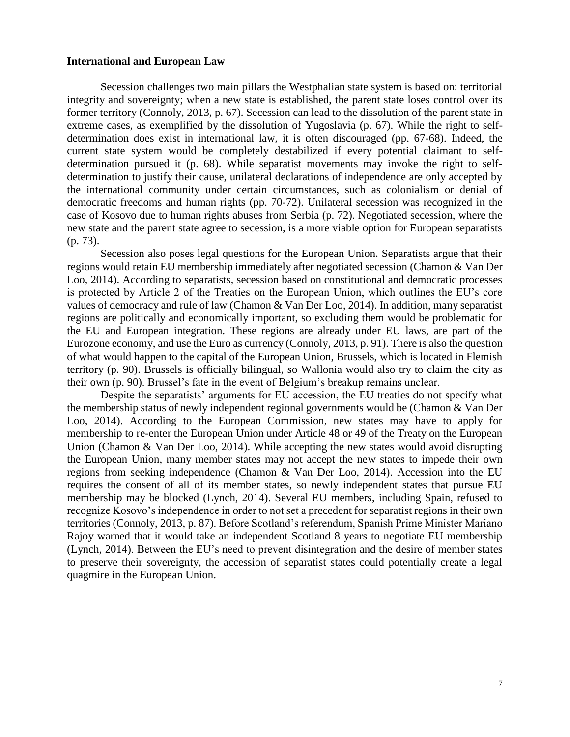## **International and European Law**

Secession challenges two main pillars the Westphalian state system is based on: territorial integrity and sovereignty; when a new state is established, the parent state loses control over its former territory (Connoly, 2013, p. 67). Secession can lead to the dissolution of the parent state in extreme cases, as exemplified by the dissolution of Yugoslavia (p. 67). While the right to selfdetermination does exist in international law, it is often discouraged (pp. 67-68). Indeed, the current state system would be completely destabilized if every potential claimant to selfdetermination pursued it (p. 68). While separatist movements may invoke the right to selfdetermination to justify their cause, unilateral declarations of independence are only accepted by the international community under certain circumstances, such as colonialism or denial of democratic freedoms and human rights (pp. 70-72). Unilateral secession was recognized in the case of Kosovo due to human rights abuses from Serbia (p. 72). Negotiated secession, where the new state and the parent state agree to secession, is a more viable option for European separatists (p. 73).

Secession also poses legal questions for the European Union. Separatists argue that their regions would retain EU membership immediately after negotiated secession (Chamon & Van Der Loo, 2014). According to separatists, secession based on constitutional and democratic processes is protected by Article 2 of the Treaties on the European Union, which outlines the EU's core values of democracy and rule of law (Chamon & Van Der Loo, 2014). In addition, many separatist regions are politically and economically important, so excluding them would be problematic for the EU and European integration. These regions are already under EU laws, are part of the Eurozone economy, and use the Euro as currency (Connoly, 2013, p. 91). There is also the question of what would happen to the capital of the European Union, Brussels, which is located in Flemish territory (p. 90). Brussels is officially bilingual, so Wallonia would also try to claim the city as their own (p. 90). Brussel's fate in the event of Belgium's breakup remains unclear.

Despite the separatists' arguments for EU accession, the EU treaties do not specify what the membership status of newly independent regional governments would be (Chamon & Van Der Loo, 2014). According to the European Commission, new states may have to apply for membership to re-enter the European Union under Article 48 or 49 of the Treaty on the European Union (Chamon & Van Der Loo, 2014). While accepting the new states would avoid disrupting the European Union, many member states may not accept the new states to impede their own regions from seeking independence (Chamon & Van Der Loo, 2014). Accession into the EU requires the consent of all of its member states, so newly independent states that pursue EU membership may be blocked (Lynch, 2014). Several EU members, including Spain, refused to recognize Kosovo's independence in order to not set a precedent for separatist regions in their own territories (Connoly, 2013, p. 87). Before Scotland's referendum, Spanish Prime Minister Mariano Rajoy warned that it would take an independent Scotland 8 years to negotiate EU membership (Lynch, 2014). Between the EU's need to prevent disintegration and the desire of member states to preserve their sovereignty, the accession of separatist states could potentially create a legal quagmire in the European Union.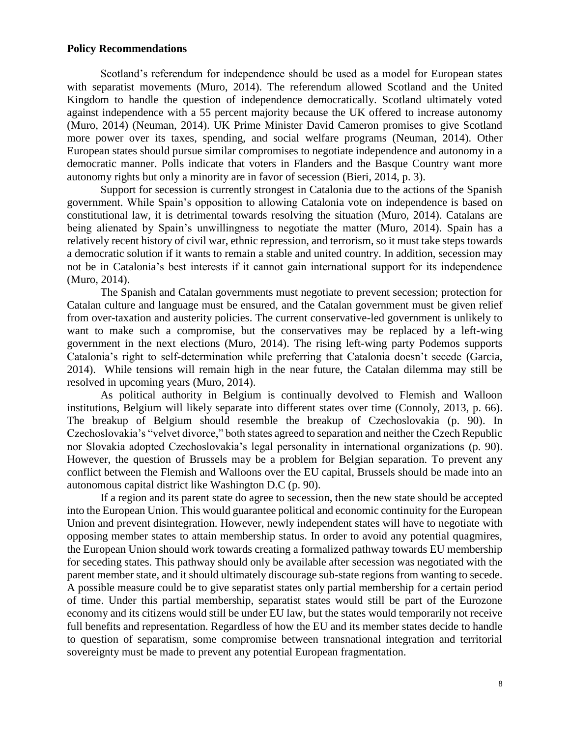## **Policy Recommendations**

Scotland's referendum for independence should be used as a model for European states with separatist movements (Muro, 2014). The referendum allowed Scotland and the United Kingdom to handle the question of independence democratically. Scotland ultimately voted against independence with a 55 percent majority because the UK offered to increase autonomy (Muro, 2014) (Neuman, 2014). UK Prime Minister David Cameron promises to give Scotland more power over its taxes, spending, and social welfare programs (Neuman, 2014). Other European states should pursue similar compromises to negotiate independence and autonomy in a democratic manner. Polls indicate that voters in Flanders and the Basque Country want more autonomy rights but only a minority are in favor of secession (Bieri, 2014, p. 3).

Support for secession is currently strongest in Catalonia due to the actions of the Spanish government. While Spain's opposition to allowing Catalonia vote on independence is based on constitutional law, it is detrimental towards resolving the situation (Muro, 2014). Catalans are being alienated by Spain's unwillingness to negotiate the matter (Muro, 2014). Spain has a relatively recent history of civil war, ethnic repression, and terrorism, so it must take steps towards a democratic solution if it wants to remain a stable and united country. In addition, secession may not be in Catalonia's best interests if it cannot gain international support for its independence (Muro, 2014).

The Spanish and Catalan governments must negotiate to prevent secession; protection for Catalan culture and language must be ensured, and the Catalan government must be given relief from over-taxation and austerity policies. The current conservative-led government is unlikely to want to make such a compromise, but the conservatives may be replaced by a left-wing government in the next elections (Muro, 2014). The rising left-wing party Podemos supports Catalonia's right to self-determination while preferring that Catalonia doesn't secede (Garcia, 2014). While tensions will remain high in the near future, the Catalan dilemma may still be resolved in upcoming years (Muro, 2014).

As political authority in Belgium is continually devolved to Flemish and Walloon institutions, Belgium will likely separate into different states over time (Connoly, 2013, p. 66). The breakup of Belgium should resemble the breakup of Czechoslovakia (p. 90). In Czechoslovakia's "velvet divorce," both states agreed to separation and neither the Czech Republic nor Slovakia adopted Czechoslovakia's legal personality in international organizations (p. 90). However, the question of Brussels may be a problem for Belgian separation. To prevent any conflict between the Flemish and Walloons over the EU capital, Brussels should be made into an autonomous capital district like Washington D.C (p. 90).

If a region and its parent state do agree to secession, then the new state should be accepted into the European Union. This would guarantee political and economic continuity for the European Union and prevent disintegration. However, newly independent states will have to negotiate with opposing member states to attain membership status. In order to avoid any potential quagmires, the European Union should work towards creating a formalized pathway towards EU membership for seceding states. This pathway should only be available after secession was negotiated with the parent member state, and it should ultimately discourage sub-state regions from wanting to secede. A possible measure could be to give separatist states only partial membership for a certain period of time. Under this partial membership, separatist states would still be part of the Eurozone economy and its citizens would still be under EU law, but the states would temporarily not receive full benefits and representation. Regardless of how the EU and its member states decide to handle to question of separatism, some compromise between transnational integration and territorial sovereignty must be made to prevent any potential European fragmentation.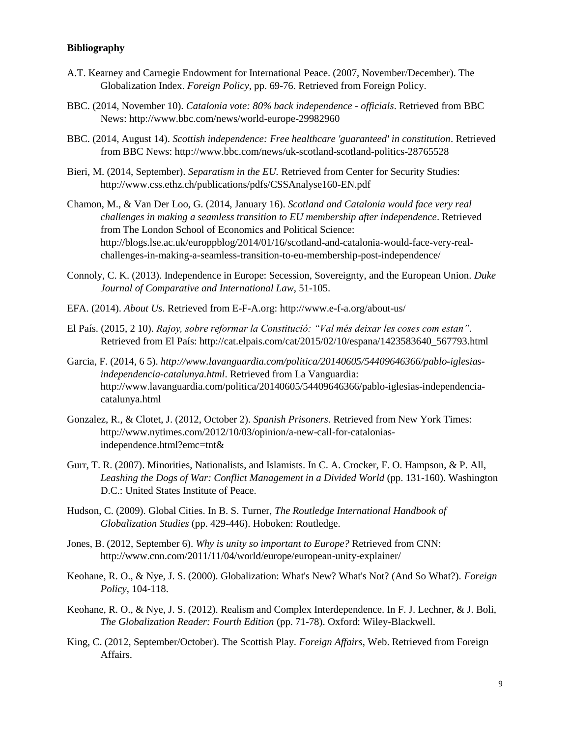# **Bibliography**

- A.T. Kearney and Carnegie Endowment for International Peace. (2007, November/December). The Globalization Index. *Foreign Policy*, pp. 69-76. Retrieved from Foreign Policy.
- BBC. (2014, November 10). *Catalonia vote: 80% back independence - officials*. Retrieved from BBC News: http://www.bbc.com/news/world-europe-29982960
- BBC. (2014, August 14). *Scottish independence: Free healthcare 'guaranteed' in constitution*. Retrieved from BBC News: http://www.bbc.com/news/uk-scotland-scotland-politics-28765528
- Bieri, M. (2014, September). *Separatism in the EU.* Retrieved from Center for Security Studies: http://www.css.ethz.ch/publications/pdfs/CSSAnalyse160-EN.pdf
- Chamon, M., & Van Der Loo, G. (2014, January 16). *Scotland and Catalonia would face very real challenges in making a seamless transition to EU membership after independence*. Retrieved from The London School of Economics and Political Science: http://blogs.lse.ac.uk/europpblog/2014/01/16/scotland-and-catalonia-would-face-very-realchallenges-in-making-a-seamless-transition-to-eu-membership-post-independence/
- Connoly, C. K. (2013). Independence in Europe: Secession, Sovereignty, and the European Union. *Duke Journal of Comparative and International Law*, 51-105.
- EFA. (2014). *About Us*. Retrieved from E-F-A.org: http://www.e-f-a.org/about-us/
- El País. (2015, 2 10). *Rajoy, sobre reformar la Constitució: "Val més deixar les coses com estan"*. Retrieved from El País: http://cat.elpais.com/cat/2015/02/10/espana/1423583640\_567793.html
- Garcia, F. (2014, 6 5). *http://www.lavanguardia.com/politica/20140605/54409646366/pablo-iglesiasindependencia-catalunya.html*. Retrieved from La Vanguardia: http://www.lavanguardia.com/politica/20140605/54409646366/pablo-iglesias-independenciacatalunya.html
- Gonzalez, R., & Clotet, J. (2012, October 2). *Spanish Prisoners*. Retrieved from New York Times: http://www.nytimes.com/2012/10/03/opinion/a-new-call-for-cataloniasindependence.html?emc=tnt&
- Gurr, T. R. (2007). Minorities, Nationalists, and Islamists. In C. A. Crocker, F. O. Hampson, & P. All, *Leashing the Dogs of War: Conflict Management in a Divided World* (pp. 131-160). Washington D.C.: United States Institute of Peace.
- Hudson, C. (2009). Global Cities. In B. S. Turner, *The Routledge International Handbook of Globalization Studies* (pp. 429-446). Hoboken: Routledge.
- Jones, B. (2012, September 6). *Why is unity so important to Europe?* Retrieved from CNN: http://www.cnn.com/2011/11/04/world/europe/european-unity-explainer/
- Keohane, R. O., & Nye, J. S. (2000). Globalization: What's New? What's Not? (And So What?). *Foreign Policy*, 104-118.
- Keohane, R. O., & Nye, J. S. (2012). Realism and Complex Interdependence. In F. J. Lechner, & J. Boli, *The Globalization Reader: Fourth Edition* (pp. 71-78). Oxford: Wiley-Blackwell.
- King, C. (2012, September/October). The Scottish Play. *Foreign Affairs*, Web. Retrieved from Foreign Affairs.